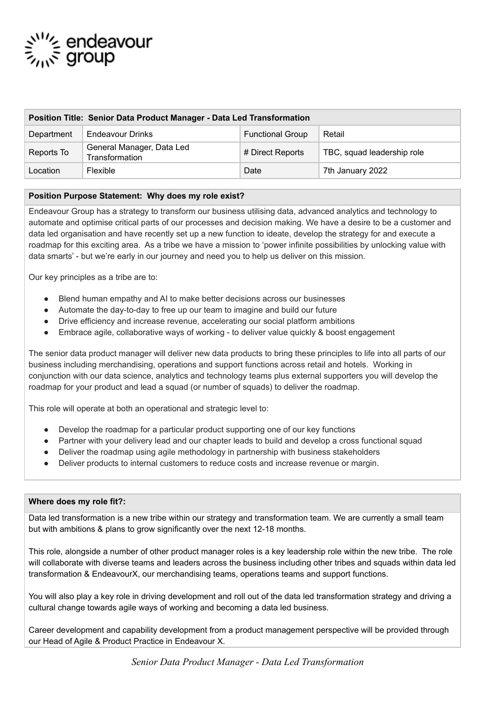# ౖ<sup>ు</sup>′′∕⊱ endeavour<br>స్ట్మన్ group

| Position Title: Senior Data Product Manager - Data Led Transformation |                                             |                         |                            |
|-----------------------------------------------------------------------|---------------------------------------------|-------------------------|----------------------------|
| Department                                                            | Endeavour Drinks                            | <b>Functional Group</b> | Retail                     |
| Reports To                                                            | General Manager, Data Led<br>Transformation | # Direct Reports        | TBC, squad leadership role |
| Location                                                              | <b>Flexible</b>                             | Date                    | 7th January 2022           |

# **Position Purpose Statement: Why does my role exist?**

Endeavour Group has a strategy to transform our business utilising data, advanced analytics and technology to automate and optimise critical parts of our processes and decision making. We have a desire to be a customer and data led organisation and have recently set up a new function to ideate, develop the strategy for and execute a roadmap for this exciting area. As a tribe we have a mission to 'power infinite possibilities by unlocking value with data smarts' - but we're early in our journey and need you to help us deliver on this mission.

Our key principles as a tribe are to:

- Blend human empathy and AI to make better decisions across our businesses
- Automate the day-to-day to free up our team to imagine and build our future
- Drive efficiency and increase revenue, accelerating our social platform ambitions
- Embrace agile, collaborative ways of working to deliver value quickly & boost engagement

The senior data product manager will deliver new data products to bring these principles to life into all parts of our business including merchandising, operations and support functions across retail and hotels. Working in conjunction with our data science, analytics and technology teams plus external supporters you will develop the roadmap for your product and lead a squad (or number of squads) to deliver the roadmap.

This role will operate at both an operational and strategic level to:

- Develop the roadmap for a particular product supporting one of our key functions
- Partner with your delivery lead and our chapter leads to build and develop a cross functional squad
- Deliver the roadmap using agile methodology in partnership with business stakeholders
- Deliver products to internal customers to reduce costs and increase revenue or margin.

#### **Where does my role fit?:**

Data led transformation is a new tribe within our strategy and transformation team. We are currently a small team but with ambitions & plans to grow significantly over the next 12-18 months.

This role, alongside a number of other product manager roles is a key leadership role within the new tribe. The role will collaborate with diverse teams and leaders across the business including other tribes and squads within data led transformation & EndeavourX, our merchandising teams, operations teams and support functions.

You will also play a key role in driving development and roll out of the data led transformation strategy and driving a cultural change towards agile ways of working and becoming a data led business.

Career development and capability development from a product management perspective will be provided through our Head of Agile & Product Practice in Endeavour X.